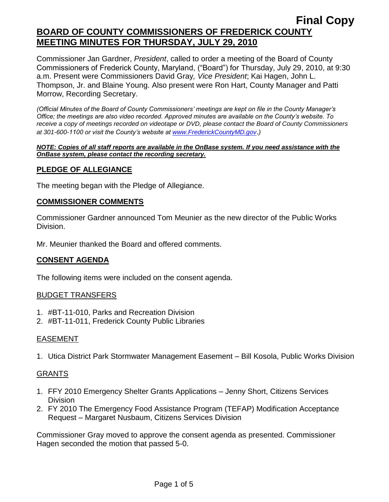# **Final Copy BOARD OF COUNTY COMMISSIONERS OF FREDERICK COUNTY MEETING MINUTES FOR THURSDAY, JULY 29, 2010**

Commissioner Jan Gardner, *President*, called to order a meeting of the Board of County Commissioners of Frederick County, Maryland, ("Board") for Thursday, July 29, 2010, at 9:30 a.m. Present were Commissioners David Gray*, Vice President*; Kai Hagen, John L. Thompson, Jr. and Blaine Young. Also present were Ron Hart, County Manager and Patti Morrow, Recording Secretary.

*(Official Minutes of the Board of County Commissioners' meetings are kept on file in the County Manager's Office; the meetings are also video recorded. Approved minutes are available on the County's website. To receive a copy of meetings recorded on videotape or DVD, please contact the Board of County Commissioners at 301-600-1100 or visit the County's website at [www.FrederickCountyMD.gov](http://www.frederickcountymd.gov/)*.*)*

#### *NOTE: Copies of all staff reports are available in the OnBase system. If you need assistance with the OnBase system, please contact the recording secretary.*

## **PLEDGE OF ALLEGIANCE**

The meeting began with the Pledge of Allegiance.

#### **COMMISSIONER COMMENTS**

Commissioner Gardner announced Tom Meunier as the new director of the Public Works Division.

Mr. Meunier thanked the Board and offered comments.

#### **CONSENT AGENDA**

The following items were included on the consent agenda.

#### BUDGET TRANSFERS

- 1. #BT-11-010, Parks and Recreation Division
- 2. #BT-11-011, Frederick County Public Libraries

#### EASEMENT

1. Utica District Park Stormwater Management Easement – Bill Kosola, Public Works Division

#### GRANTS

- 1. FFY 2010 Emergency Shelter Grants Applications Jenny Short, Citizens Services Division
- 2. FY 2010 The Emergency Food Assistance Program (TEFAP) Modification Acceptance Request – Margaret Nusbaum, Citizens Services Division

Commissioner Gray moved to approve the consent agenda as presented. Commissioner Hagen seconded the motion that passed 5-0.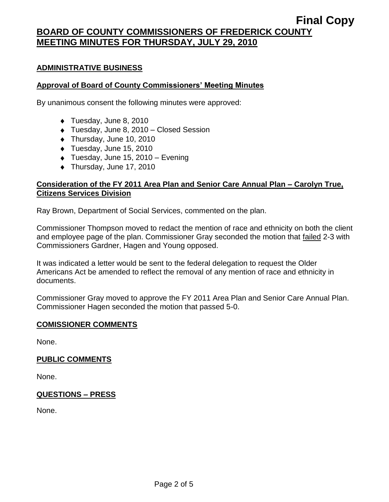# **BOARD OF COUNTY COMMISSIONERS OF FREDERICK COUNTY MEETING MINUTES FOR THURSDAY, JULY 29, 2010**

#### **ADMINISTRATIVE BUSINESS**

#### **Approval of Board of County Commissioners' Meeting Minutes**

By unanimous consent the following minutes were approved:

- ◆ Tuesday, June 8, 2010
- ◆ Tuesday, June 8, 2010 Closed Session
- ◆ Thursday, June 10, 2010
- ◆ Tuesday, June 15, 2010
- Tuesday, June 15, 2010 Evening
- ◆ Thursday, June 17, 2010

#### **Consideration of the FY 2011 Area Plan and Senior Care Annual Plan – Carolyn True, Citizens Services Division**

Ray Brown, Department of Social Services, commented on the plan.

Commissioner Thompson moved to redact the mention of race and ethnicity on both the client and employee page of the plan. Commissioner Gray seconded the motion that failed 2-3 with Commissioners Gardner, Hagen and Young opposed.

It was indicated a letter would be sent to the federal delegation to request the Older Americans Act be amended to reflect the removal of any mention of race and ethnicity in documents.

Commissioner Gray moved to approve the FY 2011 Area Plan and Senior Care Annual Plan. Commissioner Hagen seconded the motion that passed 5-0.

#### **COMISSIONER COMMENTS**

None.

#### **PUBLIC COMMENTS**

None.

#### **QUESTIONS – PRESS**

None.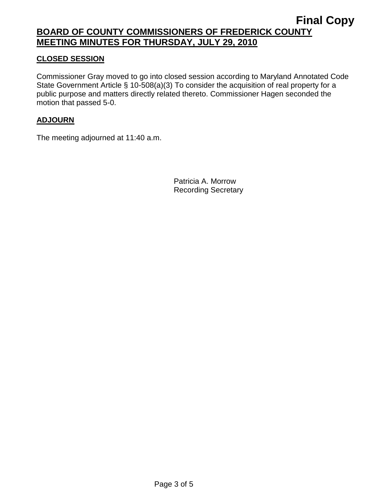# **BOARD OF COUNTY COMMISSIONERS OF FREDERICK COUNTY MEETING MINUTES FOR THURSDAY, JULY 29, 2010**

## **CLOSED SESSION**

Commissioner Gray moved to go into closed session according to Maryland Annotated Code State Government Article § 10-508(a)(3) To consider the acquisition of real property for a public purpose and matters directly related thereto. Commissioner Hagen seconded the motion that passed 5-0.

#### **ADJOURN**

The meeting adjourned at 11:40 a.m.

Patricia A. Morrow Recording Secretary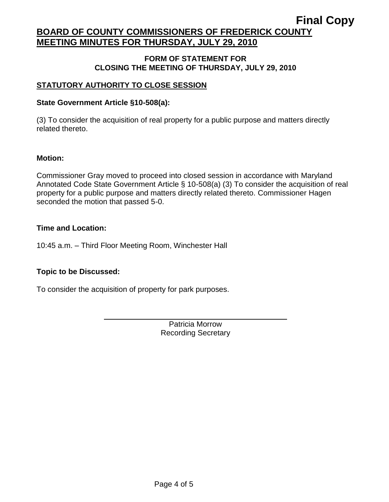# **Final Copy BOARD OF COUNTY COMMISSIONERS OF FREDERICK COUNTY MEETING MINUTES FOR THURSDAY, JULY 29, 2010**

#### **FORM OF STATEMENT FOR CLOSING THE MEETING OF THURSDAY, JULY 29, 2010**

## **STATUTORY AUTHORITY TO CLOSE SESSION**

#### **State Government Article §10-508(a):**

(3) To consider the acquisition of real property for a public purpose and matters directly related thereto.

#### **Motion:**

Commissioner Gray moved to proceed into closed session in accordance with Maryland Annotated Code State Government Article § 10-508(a) (3) To consider the acquisition of real property for a public purpose and matters directly related thereto. Commissioner Hagen seconded the motion that passed 5-0.

#### **Time and Location:**

10:45 a.m. – Third Floor Meeting Room, Winchester Hall

#### **Topic to be Discussed:**

To consider the acquisition of property for park purposes.

Patricia Morrow Recording Secretary